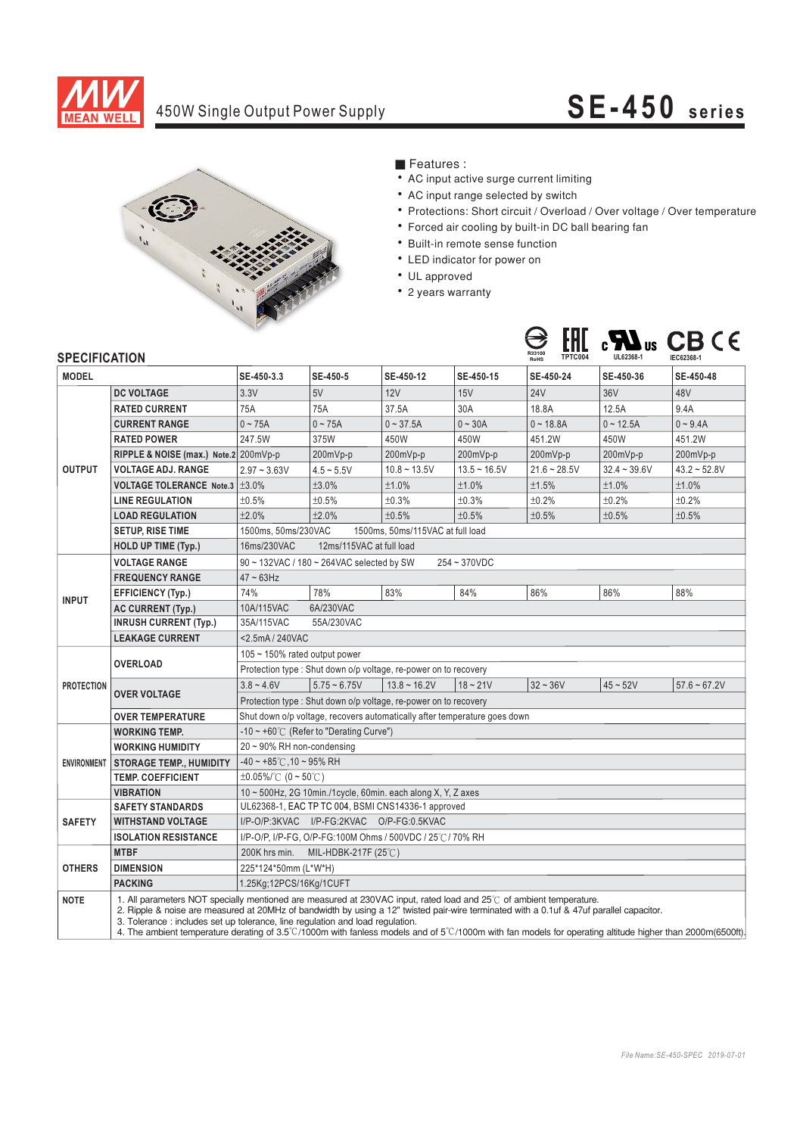

## 450W Single Output Power Supply **SE-450 series**



### ■ Features :

- AC input active surge current limiting
- AC input range selected by switch
- Protections: Short circuit / Overload / Over voltage / Over temperature
- Forced air cooling by built-in DC ball bearing fan
- Built-in remote sense function
- LED indicator for power on
- UL approved
- 2 years warranty



### **SPECIFICATION**

| <b>JELUIFIUAI IUI 1</b> |                                                                                                                                                                                                                                                                                                                                                                                                                                                                                                                |                                                                           |                |                |                | Rohs           |                |                |
|-------------------------|----------------------------------------------------------------------------------------------------------------------------------------------------------------------------------------------------------------------------------------------------------------------------------------------------------------------------------------------------------------------------------------------------------------------------------------------------------------------------------------------------------------|---------------------------------------------------------------------------|----------------|----------------|----------------|----------------|----------------|----------------|
| <b>MODEL</b>            |                                                                                                                                                                                                                                                                                                                                                                                                                                                                                                                | SE-450-3.3                                                                | SE-450-5       | SE-450-12      | SE-450-15      | SE-450-24      | SE-450-36      | SE-450-48      |
| <b>OUTPUT</b>           | <b>DC VOLTAGE</b>                                                                                                                                                                                                                                                                                                                                                                                                                                                                                              | 3.3V                                                                      | 5V             | 12V            | 15V            | <b>24V</b>     | 36V            | 48V            |
|                         | <b>RATED CURRENT</b>                                                                                                                                                                                                                                                                                                                                                                                                                                                                                           | 75A                                                                       | 75A            | 37.5A          | 30A            | 18.8A          | 12.5A          | 9.4A           |
|                         | <b>CURRENT RANGE</b>                                                                                                                                                                                                                                                                                                                                                                                                                                                                                           | $0 - 75A$                                                                 | $0 - 75A$      | $0 - 37.5A$    | $0 - 30A$      | $0 - 18.8A$    | $0 - 12.5A$    | $0 - 9.4A$     |
|                         | <b>RATED POWER</b>                                                                                                                                                                                                                                                                                                                                                                                                                                                                                             | 247.5W                                                                    | 375W           | 450W           | 450W           | 451.2W         | 450W           | 451.2W         |
|                         | RIPPLE & NOISE (max.) Note.2 200mVp-p                                                                                                                                                                                                                                                                                                                                                                                                                                                                          |                                                                           | 200mVp-p       | 200mVp-p       | 200mVp-p       | 200mVp-p       | 200mVp-p       | 200mVp-p       |
|                         | <b>VOLTAGE ADJ. RANGE</b>                                                                                                                                                                                                                                                                                                                                                                                                                                                                                      | $2.97 - 3.63V$                                                            | $4.5 - 5.5V$   | $10.8 - 13.5V$ | $13.5 - 16.5V$ | $21.6 - 28.5V$ | $32.4 - 39.6V$ | $43.2 - 52.8V$ |
|                         | VOLTAGE TOLERANCE Note.3   ±3.0%                                                                                                                                                                                                                                                                                                                                                                                                                                                                               |                                                                           | ±3.0%          | ±1.0%          | ±1.0%          | ±1.5%          | ±1.0%          | ±1.0%          |
|                         | <b>LINE REGULATION</b>                                                                                                                                                                                                                                                                                                                                                                                                                                                                                         | ±0.5%                                                                     | ±0.5%          | ±0.3%          | ±0.3%          | ±0.2%          | ±0.2%          | ±0.2%          |
|                         | <b>LOAD REGULATION</b>                                                                                                                                                                                                                                                                                                                                                                                                                                                                                         | ±2.0%                                                                     | ±2.0%          | ±0.5%          | ±0.5%          | ±0.5%          | ±0.5%          | ±0.5%          |
|                         | <b>SETUP, RISE TIME</b>                                                                                                                                                                                                                                                                                                                                                                                                                                                                                        | 1500ms. 50ms/230VAC<br>1500ms. 50ms/115VAC at full load                   |                |                |                |                |                |                |
|                         | <b>HOLD UP TIME (Typ.)</b>                                                                                                                                                                                                                                                                                                                                                                                                                                                                                     | 12ms/115VAC at full load<br>16ms/230VAC                                   |                |                |                |                |                |                |
| <b>INPUT</b>            | <b>VOLTAGE RANGE</b>                                                                                                                                                                                                                                                                                                                                                                                                                                                                                           | 90 ~ 132VAC / 180 ~ 264VAC selected by SW<br>254~370VDC                   |                |                |                |                |                |                |
|                         | <b>FREQUENCY RANGE</b>                                                                                                                                                                                                                                                                                                                                                                                                                                                                                         | $47 \sim 63$ Hz                                                           |                |                |                |                |                |                |
|                         | <b>EFFICIENCY (Typ.)</b>                                                                                                                                                                                                                                                                                                                                                                                                                                                                                       | 74%                                                                       | 78%            | 83%            | 84%            | 86%            | 86%            | 88%            |
|                         | <b>AC CURRENT (Typ.)</b>                                                                                                                                                                                                                                                                                                                                                                                                                                                                                       | 6A/230VAC<br>10A/115VAC                                                   |                |                |                |                |                |                |
|                         | <b>INRUSH CURRENT (Typ.)</b>                                                                                                                                                                                                                                                                                                                                                                                                                                                                                   | 35A/115VAC<br>55A/230VAC                                                  |                |                |                |                |                |                |
|                         | <b>LEAKAGE CURRENT</b>                                                                                                                                                                                                                                                                                                                                                                                                                                                                                         | <2.5mA / 240VAC                                                           |                |                |                |                |                |                |
| <b>PROTECTION</b>       |                                                                                                                                                                                                                                                                                                                                                                                                                                                                                                                | 105 $\sim$ 150% rated output power                                        |                |                |                |                |                |                |
|                         | <b>OVERLOAD</b>                                                                                                                                                                                                                                                                                                                                                                                                                                                                                                | Protection type: Shut down o/p voltage, re-power on to recovery           |                |                |                |                |                |                |
|                         |                                                                                                                                                                                                                                                                                                                                                                                                                                                                                                                | $3.8 - 4.6V$                                                              | $5.75 - 6.75V$ | $13.8 - 16.2V$ | $18 - 21V$     | $32 - 36V$     | $45 - 52V$     | $57.6 - 67.2V$ |
|                         | <b>OVER VOLTAGE</b>                                                                                                                                                                                                                                                                                                                                                                                                                                                                                            | Protection type : Shut down o/p voltage, re-power on to recovery          |                |                |                |                |                |                |
|                         | <b>OVER TEMPERATURE</b>                                                                                                                                                                                                                                                                                                                                                                                                                                                                                        | Shut down o/p voltage, recovers automatically after temperature goes down |                |                |                |                |                |                |
| <b>ENVIRONMENT</b>      | <b>WORKING TEMP.</b>                                                                                                                                                                                                                                                                                                                                                                                                                                                                                           | -10 ~ +60° $\mathrm{C}$ (Refer to "Derating Curve")                       |                |                |                |                |                |                |
|                         | <b>WORKING HUMIDITY</b>                                                                                                                                                                                                                                                                                                                                                                                                                                                                                        | $20 \sim 90\%$ RH non-condensing                                          |                |                |                |                |                |                |
|                         | <b>STORAGE TEMP., HUMIDITY</b>                                                                                                                                                                                                                                                                                                                                                                                                                                                                                 | $-40 \sim +85^{\circ}$ C, 10 ~ 95% RH                                     |                |                |                |                |                |                |
|                         | <b>TEMP. COEFFICIENT</b>                                                                                                                                                                                                                                                                                                                                                                                                                                                                                       | $\pm 0.05\%$ /°C (0 ~ 50°C)                                               |                |                |                |                |                |                |
|                         | <b>VIBRATION</b>                                                                                                                                                                                                                                                                                                                                                                                                                                                                                               | 10 ~ 500Hz, 2G 10min./1cycle, 60min. each along X, Y, Z axes              |                |                |                |                |                |                |
| <b>SAFETY</b>           | <b>SAFETY STANDARDS</b>                                                                                                                                                                                                                                                                                                                                                                                                                                                                                        | UL62368-1, EAC TP TC 004, BSMI CNS14336-1 approved                        |                |                |                |                |                |                |
|                         | <b>WITHSTAND VOLTAGE</b>                                                                                                                                                                                                                                                                                                                                                                                                                                                                                       | I/P-O/P:3KVAC I/P-FG:2KVAC O/P-FG:0.5KVAC                                 |                |                |                |                |                |                |
|                         | <b>ISOLATION RESISTANCE</b>                                                                                                                                                                                                                                                                                                                                                                                                                                                                                    | I/P-O/P, I/P-FG, O/P-FG:100M Ohms / 500VDC / 25°C / 70% RH                |                |                |                |                |                |                |
| <b>OTHERS</b>           | <b>MTBF</b>                                                                                                                                                                                                                                                                                                                                                                                                                                                                                                    | 200K hrs min. MIL-HDBK-217F (25℃)                                         |                |                |                |                |                |                |
|                         | <b>DIMENSION</b>                                                                                                                                                                                                                                                                                                                                                                                                                                                                                               | 225*124*50mm (L*W*H)                                                      |                |                |                |                |                |                |
|                         | <b>PACKING</b>                                                                                                                                                                                                                                                                                                                                                                                                                                                                                                 | 1.25Kg;12PCS/16Kg/1CUFT                                                   |                |                |                |                |                |                |
| <b>NOTE</b>             | 1. All parameters NOT specially mentioned are measured at 230VAC input, rated load and 25°C of ambient temperature.<br>2. Ripple & noise are measured at 20MHz of bandwidth by using a 12" twisted pair-wire terminated with a 0.1uf & 47uf parallel capacitor.<br>3. Tolerance : includes set up tolerance, line regulation and load regulation.<br>4. The ambient temperature derating of 3.5°C/1000m with fanless models and of 5°C/1000m with fan models for operating altitude higher than 2000m(6500ft). |                                                                           |                |                |                |                |                |                |